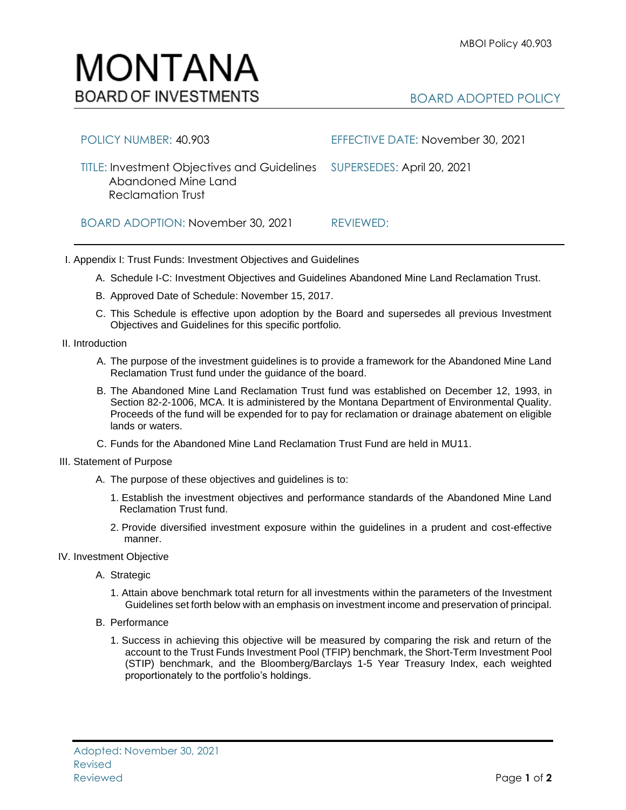

## BOARD ADOPTED POLICY

| POLICY NUMBER: 40.903                                                                                                     | EFFECTIVE DATE: November 30, 2021 |
|---------------------------------------------------------------------------------------------------------------------------|-----------------------------------|
| TITLE: Investment Objectives and Guidelines SUPERSEDES: April 20, 2021<br>Abandoned Mine Land<br><b>Reclamation Trust</b> |                                   |
| BOARD ADOPTION: November 30, 2021                                                                                         | REVIEWED:                         |

I. Appendix I: Trust Funds: Investment Objectives and Guidelines

- A. Schedule I-C: Investment Objectives and Guidelines Abandoned Mine Land Reclamation Trust.
- B. Approved Date of Schedule: November 15, 2017.
- C. This Schedule is effective upon adoption by the Board and supersedes all previous Investment Objectives and Guidelines for this specific portfolio*.*

II. Introduction

- A. The purpose of the investment guidelines is to provide a framework for the Abandoned Mine Land Reclamation Trust fund under the guidance of the board.
- B. The Abandoned Mine Land Reclamation Trust fund was established on December 12, 1993, in Section 82-2-1006, MCA. It is administered by the Montana Department of Environmental Quality. Proceeds of the fund will be expended for to pay for reclamation or drainage abatement on eligible lands or waters.
- C. Funds for the Abandoned Mine Land Reclamation Trust Fund are held in MU11.
- III. Statement of Purpose
	- A. The purpose of these objectives and guidelines is to:
		- 1. Establish the investment objectives and performance standards of the Abandoned Mine Land Reclamation Trust fund.
		- 2. Provide diversified investment exposure within the guidelines in a prudent and cost-effective manner.
- IV. Investment Objective
	- A. Strategic
		- 1. Attain above benchmark total return for all investments within the parameters of the Investment Guidelines set forth below with an emphasis on investment income and preservation of principal.
	- B. Performance
		- 1. Success in achieving this objective will be measured by comparing the risk and return of the account to the Trust Funds Investment Pool (TFIP) benchmark, the Short-Term Investment Pool (STIP) benchmark, and the Bloomberg/Barclays 1-5 Year Treasury Index, each weighted proportionately to the portfolio's holdings.